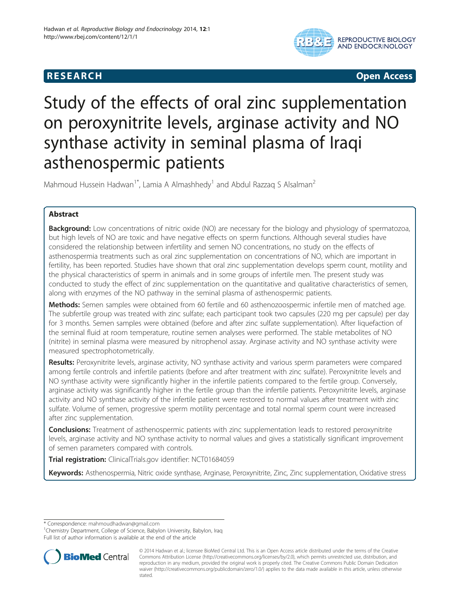# **RESEARCH RESEARCH** *CHECK <b>CHECK*



# Study of the effects of oral zinc supplementation on peroxynitrite levels, arginase activity and NO synthase activity in seminal plasma of Iraqi asthenospermic patients

Mahmoud Hussein Hadwan<sup>1\*</sup>, Lamia A Almashhedy<sup>1</sup> and Abdul Razzaq S Alsalman<sup>2</sup>

## Abstract

**Background:** Low concentrations of nitric oxide (NO) are necessary for the biology and physiology of spermatozoa, but high levels of NO are toxic and have negative effects on sperm functions. Although several studies have considered the relationship between infertility and semen NO concentrations, no study on the effects of asthenospermia treatments such as oral zinc supplementation on concentrations of NO, which are important in fertility, has been reported. Studies have shown that oral zinc supplementation develops sperm count, motility and the physical characteristics of sperm in animals and in some groups of infertile men. The present study was conducted to study the effect of zinc supplementation on the quantitative and qualitative characteristics of semen, along with enzymes of the NO pathway in the seminal plasma of asthenospermic patients.

Methods: Semen samples were obtained from 60 fertile and 60 asthenozoospermic infertile men of matched age. The subfertile group was treated with zinc sulfate; each participant took two capsules (220 mg per capsule) per day for 3 months. Semen samples were obtained (before and after zinc sulfate supplementation). After liquefaction of the seminal fluid at room temperature, routine semen analyses were performed. The stable metabolites of NO (nitrite) in seminal plasma were measured by nitrophenol assay. Arginase activity and NO synthase activity were measured spectrophotometrically.

Results: Peroxynitrite levels, arginase activity, NO synthase activity and various sperm parameters were compared among fertile controls and infertile patients (before and after treatment with zinc sulfate). Peroxynitrite levels and NO synthase activity were significantly higher in the infertile patients compared to the fertile group. Conversely, arginase activity was significantly higher in the fertile group than the infertile patients. Peroxynitrite levels, arginase activity and NO synthase activity of the infertile patient were restored to normal values after treatment with zinc sulfate. Volume of semen, progressive sperm motility percentage and total normal sperm count were increased after zinc supplementation.

**Conclusions:** Treatment of asthenospermic patients with zinc supplementation leads to restored peroxynitrite levels, arginase activity and NO synthase activity to normal values and gives a statistically significant improvement of semen parameters compared with controls.

Trial registration: ClinicalTrials.gov identifier: [NCT01684059](http://clinicaltrials.gov/show/NCT01684059)

Keywords: Asthenospermia, Nitric oxide synthase, Arginase, Peroxynitrite, Zinc, Zinc supplementation, Oxidative stress

\* Correspondence: [mahmoudhadwan@gmail.com](mailto:mahmoudhadwan@gmail.com) <sup>1</sup>

<sup>1</sup>Chemistry Department, College of Science, Babylon University, Babylon, Iraq Full list of author information is available at the end of the article



<sup>© 2014</sup> Hadwan et al.; licensee BioMed Central Ltd. This is an Open Access article distributed under the terms of the Creative Commons Attribution License [\(http://creativecommons.org/licenses/by/2.0\)](http://creativecommons.org/licenses/by/2.0), which permits unrestricted use, distribution, and reproduction in any medium, provided the original work is properly cited. The Creative Commons Public Domain Dedication waiver [\(http://creativecommons.org/publicdomain/zero/1.0/\)](http://creativecommons.org/publicdomain/zero/1.0/) applies to the data made available in this article, unless otherwise stated.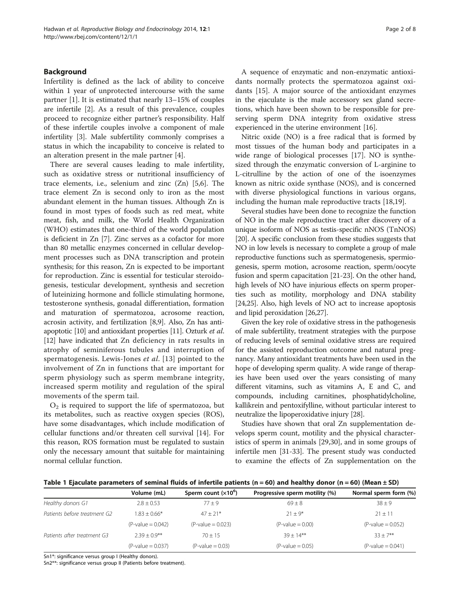#### <span id="page-1-0"></span>Background

Infertility is defined as the lack of ability to conceive within 1 year of unprotected intercourse with the same partner [[1\]](#page-6-0). It is estimated that nearly 13–15% of couples are infertile [[2\]](#page-6-0). As a result of this prevalence, couples proceed to recognize either partner's responsibility. Half of these infertile couples involve a component of male infertility [\[3](#page-6-0)]. Male subfertility commonly comprises a status in which the incapability to conceive is related to an alteration present in the male partner [[4](#page-6-0)].

There are several causes leading to male infertility, such as oxidative stress or nutritional insufficiency of trace elements, i.e., selenium and zinc (Zn) [\[5,6](#page-6-0)]. The trace element Zn is second only to iron as the most abundant element in the human tissues. Although Zn is found in most types of foods such as red meat, white meat, fish, and milk, the World Health Organization (WHO) estimates that one-third of the world population is deficient in Zn [\[7](#page-6-0)]. Zinc serves as a cofactor for more than 80 metallic enzymes concerned in cellular development processes such as DNA transcription and protein synthesis; for this reason, Zn is expected to be important for reproduction. Zinc is essential for testicular steroidogenesis, testicular development, synthesis and secretion of luteinizing hormone and follicle stimulating hormone, testosterone synthesis, gonadal differentiation, formation and maturation of spermatozoa, acrosome reaction, acrosin activity, and fertilization [\[8,9](#page-6-0)]. Also, Zn has antiapoptotic [\[10\]](#page-6-0) and antioxidant properties [\[11\]](#page-6-0). Ozturk et al. [[12](#page-6-0)] have indicated that Zn deficiency in rats results in atrophy of seminiferous tubules and interruption of spermatogenesis. Lewis-Jones et al. [[13\]](#page-6-0) pointed to the involvement of Zn in functions that are important for sperm physiology such as sperm membrane integrity, increased sperm motility and regulation of the spiral movements of the sperm tail.

 $O<sub>2</sub>$  is required to support the life of spermatozoa, but its metabolites, such as reactive oxygen species (ROS), have some disadvantages, which include modification of cellular functions and/or threaten cell survival [[14](#page-6-0)]. For this reason, ROS formation must be regulated to sustain only the necessary amount that suitable for maintaining normal cellular function.

A sequence of enzymatic and non-enzymatic antioxidants normally protects the spermatozoa against oxidants [\[15](#page-6-0)]. A major source of the antioxidant enzymes in the ejaculate is the male accessory sex gland secretions, which have been shown to be responsible for preserving sperm DNA integrity from oxidative stress experienced in the uterine environment [[16](#page-6-0)].

Nitric oxide (NO) is a free radical that is formed by most tissues of the human body and participates in a wide range of biological processes [\[17](#page-6-0)]. NO is synthesized through the enzymatic conversion of L-arginine to L-citrulline by the action of one of the isoenzymes known as nitric oxide synthase (NOS), and is concerned with diverse physiological functions in various organs, including the human male reproductive tracts [\[18,19\]](#page-6-0).

Several studies have been done to recognize the function of NO in the male reproductive tract after discovery of a unique isoform of NOS as testis-specific nNOS (TnNOS) [[20](#page-7-0)]. A specific conclusion from these studies suggests that NO in low levels is necessary to complete a group of male reproductive functions such as spermatogenesis, spermiogenesis, sperm motion, acrosome reaction, sperm/oocyte fusion and sperm capacitation [[21-23\]](#page-7-0). On the other hand, high levels of NO have injurious effects on sperm properties such as motility, morphology and DNA stability [[24,25](#page-7-0)]. Also, high levels of NO act to increase apoptosis and lipid peroxidation [\[26,27\]](#page-7-0).

Given the key role of oxidative stress in the pathogenesis of male subfertility, treatment strategies with the purpose of reducing levels of seminal oxidative stress are required for the assisted reproduction outcome and natural pregnancy. Many antioxidant treatments have been used in the hope of developing sperm quality. A wide range of therapies have been used over the years consisting of many different vitamins, such as vitamins A, E and C, and compounds, including carnitines, phosphatidylcholine, kallikrein and pentoxifylline, without particular interest to neutralize the lipoperoxidative injury [\[28\]](#page-7-0).

Studies have shown that oral Zn supplementation develops sperm count, motility and the physical characteristics of sperm in animals [[29,30\]](#page-7-0), and in some groups of infertile men [\[31-33](#page-7-0)]. The present study was conducted to examine the effects of Zn supplementation on the

|  |  | Table 1 Ejaculate parameters of seminal fluids of infertile patients (n = 60) and healthy donor (n = 60) (Mean ± SD) |  |  |  |  |  |  |  |  |  |  |
|--|--|----------------------------------------------------------------------------------------------------------------------|--|--|--|--|--|--|--|--|--|--|
|--|--|----------------------------------------------------------------------------------------------------------------------|--|--|--|--|--|--|--|--|--|--|

|                              | Volume (mL)         | Sperm count $(x10^6)$ | Progressive sperm motility (%) | Normal sperm form (%) |
|------------------------------|---------------------|-----------------------|--------------------------------|-----------------------|
| Healthy donors G1            | $2.8 + 0.53$        | $77 + 9$              | $69 + 8$                       | $38 + 9$              |
| Patients before treatment G2 | $.83 + 0.66*$       | $47 + 21*$            | $71 + 9*$                      | $21 + 11$             |
|                              | $(P-value = 0.042)$ | $(P-value = 0.023)$   | $(P-value = 0.00)$             | $(P-value = 0.052)$   |
| Patients after treatment G3  | $739 + 09**$        | $70 + 15$             | $39 + 14**$                    | $33 + 7**$            |
|                              | $(P-value = 0.037)$ | $(P-value = 0.03)$    | $(P-value = 0.05)$             | $(P-value = 0.041)$   |

Sn1\*: significance versus group I (Healthy donors).

Sn2\*\*: significance versus group II (Patients before treatment).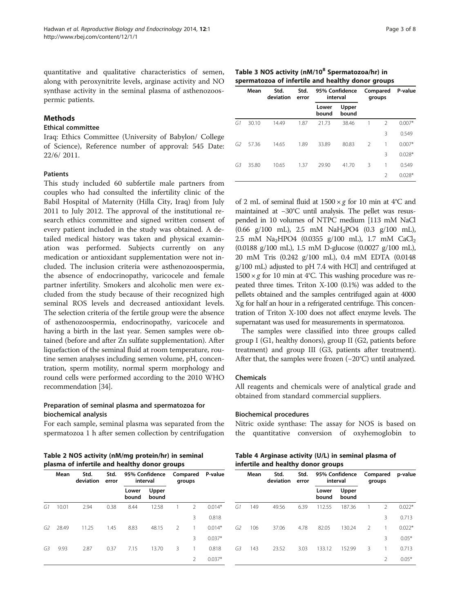<span id="page-2-0"></span>quantitative and qualitative characteristics of semen, along with peroxynitrite levels, arginase activity and NO synthase activity in the seminal plasma of asthenozoospermic patients.

#### Methods

#### Ethical committee

Iraq: Ethics Committee (University of Babylon/ College of Science), Reference number of approval: 545 Date: 22/6/ 2011.

#### Patients

This study included 60 subfertile male partners from couples who had consulted the infertility clinic of the Babil Hospital of Maternity (Hilla City, Iraq) from July 2011 to July 2012. The approval of the institutional research ethics committee and signed written consent of every patient included in the study was obtained. A detailed medical history was taken and physical examination was performed. Subjects currently on any medication or antioxidant supplementation were not included. The inclusion criteria were asthenozoospermia, the absence of endocrinopathy, varicocele and female partner infertility. Smokers and alcoholic men were excluded from the study because of their recognized high seminal ROS levels and decreased antioxidant levels. The selection criteria of the fertile group were the absence of asthenozoospermia, endocrinopathy, varicocele and having a birth in the last year. Semen samples were obtained (before and after Zn sulfate supplementation). After liquefaction of the seminal fluid at room temperature, routine semen analyses including semen volume, pH, concentration, sperm motility, normal sperm morphology and round cells were performed according to the 2010 WHO recommendation [[34](#page-7-0)].

#### Preparation of seminal plasma and spermatozoa for biochemical analysis

For each sample, seminal plasma was separated from the spermatozoa 1 h after semen collection by centrifugation

Table 3 NOS activity (nM/10<sup>8</sup> Spermatozoa/hr) in spermatozoa of infertile and healthy donor groups

|    | Mean  | Std.<br>deviation | Std.<br>error |                | 95% Confidence<br>interval | Compared<br>groups |                | P-value  |  |
|----|-------|-------------------|---------------|----------------|----------------------------|--------------------|----------------|----------|--|
|    |       |                   |               | Lower<br>bound | Upper<br>bound             |                    |                |          |  |
| G1 | 30.10 | 14.49             | 1.87          | 21.73          | 38.46                      | 1                  | $\mathcal{P}$  | $0.007*$ |  |
|    |       |                   |               |                |                            |                    | 3              | 0.549    |  |
| G2 | 57.36 | 14.65             | 1.89          | 33.89          | 80.83                      | $\mathcal{P}$      | 1              | $0.007*$ |  |
|    |       |                   |               |                |                            |                    | 3              | $0.028*$ |  |
| G3 | 35.80 | 10.65             | 1.37          | 29.90          | 41.70                      | 3                  | 1              | 0.549    |  |
|    |       |                   |               |                |                            |                    | $\mathfrak{D}$ | $0.028*$ |  |

of 2 mL of seminal fluid at  $1500 \times g$  for 10 min at 4°C and maintained at −30°C until analysis. The pellet was resuspended in 10 volumes of NTPC medium [113 mM NaCl (0.66 g/100 mL), 2.5 mM NaH2PO4 (0.3 g/100 mL), 2.5 mM Na<sub>2</sub>HPO4 (0.0355 g/100 mL), 1.7 mM CaCl<sub>2</sub> (0.0188 g/100 mL), 1.5 mM D-glucose (0.0027 g/100 mL), 20 mM Tris (0.242 g/100 mL), 0.4 mM EDTA (0.0148 g/100 mL) adjusted to pH 7.4 with HCl] and centrifuged at  $1500 \times g$  for 10 min at 4°C. This washing procedure was repeated three times. Triton X-100 (0.1%) was added to the pellets obtained and the samples centrifuged again at 4000 Xg for half an hour in a refrigerated centrifuge. This concentration of Triton X-100 does not affect enzyme levels. The supernatant was used for measurements in spermatozoa.

The samples were classified into three groups called group I (G1, healthy donors), group II (G2, patients before treatment) and group III (G3, patients after treatment). After that, the samples were frozen (−20°C) until analyzed.

#### Chemicals

All reagents and chemicals were of analytical grade and obtained from standard commercial suppliers.

#### Biochemical procedures

Nitric oxide synthase: The assay for NOS is based on the quantitative conversion of oxyhemoglobin to

Table 2 NOS activity (nM/mg protein/hr) in seminal plasma of infertile and healthy donor groups

|    | Mean  | Std.<br>deviation | Std.<br>error |                | 95% Confidence<br>interval | Compared<br>groups       |                | P-value  |
|----|-------|-------------------|---------------|----------------|----------------------------|--------------------------|----------------|----------|
|    |       |                   |               | Lower<br>bound | Upper<br>bound             |                          |                |          |
| G1 | 10.01 | 2.94              | 0.38          | 8.44           | 12.58                      | 1                        | $\mathcal{P}$  | $0.014*$ |
|    |       |                   |               |                |                            |                          | 3              | 0.818    |
| G2 | 28.49 | 11.25             | 1.45          | 8.83           | 48.15                      | $\overline{\phantom{0}}$ | 1              | $0.014*$ |
|    |       |                   |               |                |                            |                          | 3              | $0.037*$ |
| G3 | 9.93  | 2.87              | 0.37          | 7.15           | 13.70                      | 3                        | 1              | 0.818    |
|    |       |                   |               |                |                            |                          | $\mathfrak{D}$ | $0.037*$ |

| Table 4 Arginase activity (U/L) in seminal plasma of |  |
|------------------------------------------------------|--|
| infertile and healthy donor groups                   |  |

|    | Mean | Std.<br>deviation | Std.<br>error | 95% Confidence<br>interval |                | Compared<br>groups |                | p-value  |
|----|------|-------------------|---------------|----------------------------|----------------|--------------------|----------------|----------|
|    |      |                   |               | Lower<br>bound             | Upper<br>bound |                    |                |          |
| G1 | 149  | 49.56             | 6.39          | 112.55                     | 187.36         | 1                  | $\mathfrak{D}$ | $0.022*$ |
|    |      |                   |               |                            |                |                    | 3              | 0.713    |
| G2 | 106  | 37.06             | 4.78          | 82.05                      | 130.24         | $\mathcal{P}$      | 1              | $0.022*$ |
|    |      |                   |               |                            |                |                    | 3              | $0.05*$  |
| G3 | 143  | 23.52             | 3.03          | 133.12                     | 152.99         | 3                  | 1              | 0.713    |
|    |      |                   |               |                            |                |                    | $\mathcal{P}$  | $0.05*$  |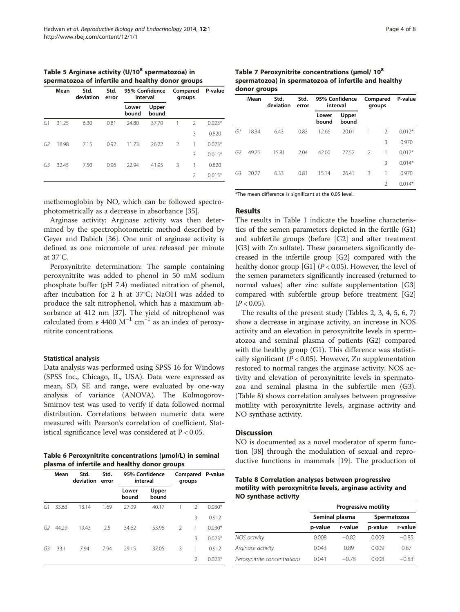<span id="page-3-0"></span>Table 5 Arginase activity  $(U/10^8$  spermatozoa) in spermatozoa of infertile and healthy donor groups

|                | Mean  | Std.<br>deviation | Std.<br>error | 95% Confidence<br>interval |                | Compared<br>groups       |                | P-value  |  |
|----------------|-------|-------------------|---------------|----------------------------|----------------|--------------------------|----------------|----------|--|
|                |       |                   |               | Lower<br>bound             | Upper<br>hound |                          |                |          |  |
| G1             | 31.25 | 6.30              | 0.81          | 24.80                      | 37.70          |                          | $\mathcal{P}$  | $0.023*$ |  |
|                |       |                   |               |                            |                |                          | 3              | 0.820    |  |
| G <sub>2</sub> | 18.98 | 7.15              | 0.92          | 11.73                      | 26.22          | $\overline{\phantom{0}}$ | 1              | $0.023*$ |  |
|                |       |                   |               |                            |                |                          | 3              | $0.015*$ |  |
| G3             | 32.45 | 7.50              | 0.96          | 22.94                      | 41.95          | 3                        | 1              | 0.820    |  |
|                |       |                   |               |                            |                |                          | $\mathfrak{D}$ | $0.015*$ |  |

methemoglobin by NO, which can be followed spectrophotometrically as a decrease in absorbance [\[35\]](#page-7-0).

Arginase activity: Arginase activity was then determined by the spectrophotometric method described by Geyer and Dabich [\[36](#page-7-0)]. One unit of arginase activity is defined as one micromole of urea released per minute at 37°C.

Peroxynitrite determination: The sample containing peroxynitrite was added to phenol in 50 mM sodium phosphate buffer (pH 7.4) mediated nitration of phenol, after incubation for 2 h at 37°C; NaOH was added to produce the salt nitrophenol, which has a maximum absorbance at 412 nm [\[37](#page-7-0)]. The yield of nitrophenol was calculated from  $\varepsilon$  4400 M<sup>-1</sup> cm<sup>-1</sup> as an index of peroxynitrite concentrations.

#### Statistical analysis

Data analysis was performed using SPSS 16 for Windows (SPSS Inc., Chicago, IL, USA). Data were expressed as mean, SD, SE and range, were evaluated by one-way analysis of variance (ANOVA). The Kolmogorov-Smirnov test was used to verify if data followed normal distribution. Correlations between numeric data were measured with Pearson's correlation of coefficient. Statistical significance level was considered at P < 0.05.

| Table 6 Peroxynitrite concentrations (umol/L) in seminal |  |
|----------------------------------------------------------|--|
| plasma of infertile and healthy donor groups             |  |

|    | Mean  | Std.<br>deviation | Std.<br>error |                | 95% Confidence<br>interval | Compared<br>groups |               | P-value  |
|----|-------|-------------------|---------------|----------------|----------------------------|--------------------|---------------|----------|
|    |       |                   |               | Lower<br>bound | Upper<br>bound             |                    |               |          |
| G1 | 33.63 | 13.14             | 1.69          | 27.09          | 40.17                      |                    | $\mathcal{P}$ | $0.030*$ |
|    |       |                   |               |                |                            |                    | 3             | 0.912    |
| G2 | 44.29 | 19.43             | 2.5           | 34.62          | 53.95                      | $\mathcal{P}$      | 1             | $0.030*$ |
|    |       |                   |               |                |                            |                    | 3             | $0.023*$ |
| G3 | 33.1  | 7.94              | 7.94          | 29.15          | 37.05                      | 3                  | 1             | 0.912    |
|    |       |                   |               |                |                            |                    | 2             | $0.023*$ |

Table 7 Peroxynitrite concentrations (μmol/ 108 spermatozoa) in spermatozoa of infertile and healthy donor groups

|    | Mean  | Std.<br>deviation | Std.<br>error |                | 95% Confidence<br>interval | Compared<br>groups |                | P-value  |
|----|-------|-------------------|---------------|----------------|----------------------------|--------------------|----------------|----------|
|    |       |                   |               | Lower<br>bound | Upper<br>bound             |                    |                |          |
| G1 | 18.34 | 6.43              | 0.83          | 12.66          | 20.01                      |                    | $\mathfrak{D}$ | $0.012*$ |
|    |       |                   |               |                |                            |                    | 3              | 0.970    |
| G2 | 49.76 | 15.81             | 2.04          | 42.00          | 77.52                      | $\mathcal{P}$      | 1              | $0.012*$ |
|    |       |                   |               |                |                            |                    | 3              | $0.014*$ |
| G3 | 20.77 | 6.33              | 0.81          | 15.14          | 26.41                      | 3                  | 1              | 0.970    |
|    |       |                   |               |                |                            |                    | $\mathcal{P}$  | $0.014*$ |

\*The mean difference is significant at the 0.05 level.

#### Results

The results in Table [1](#page-1-0) indicate the baseline characteristics of the semen parameters depicted in the fertile (G1) and subfertile groups (before [G2] and after treatment [G3] with Zn sulfate). These parameters significantly decreased in the infertile group [G2] compared with the healthy donor group [G1] ( $P < 0.05$ ). However, the level of the semen parameters significantly increased (returned to normal values) after zinc sulfate supplementation [G3] compared with subfertile group before treatment [G2]  $(P < 0.05)$ .

The results of the present study (Tables [2](#page-2-0), [3, 4,](#page-2-0) 5, 6, 7) show a decrease in arginase activity, an increase in NOS activity and an elevation in peroxynitrite levels in spermatozoa and seminal plasma of patients (G2) compared with the healthy group (G1). This difference was statistically significant ( $P < 0.05$ ). However, Zn supplementation restored to normal ranges the arginase activity, NOS activity and elevation of peroxynitrite levels in spermatozoa and seminal plasma in the subfertile men (G3). (Table 8) shows correlation analyses between progressive motility with peroxynitrite levels, arginase activity and NO synthase activity.

### **Discussion**

NO is documented as a novel moderator of sperm function [[38](#page-7-0)] through the modulation of sexual and repro-ductive functions in mammals [[19\]](#page-6-0). The production of

Table 8 Correlation analyses between progressive motility with peroxynitrite levels, arginase activity and NO synthase activity

|                              | <b>Progressive motility</b>   |         |         |         |  |  |  |
|------------------------------|-------------------------------|---------|---------|---------|--|--|--|
|                              | Seminal plasma<br>Spermatozoa |         |         |         |  |  |  |
|                              | p-value                       | r-value | p-value | r-value |  |  |  |
| NOS activity                 | 0.008                         | $-0.82$ | 0.009   | $-0.85$ |  |  |  |
| Arginase activity            | 0.043                         | 0.89    | 0.009   | 0.87    |  |  |  |
| Peroxynitrite concentrations | 0.041                         | $-0.78$ | 0.008   | $-0.83$ |  |  |  |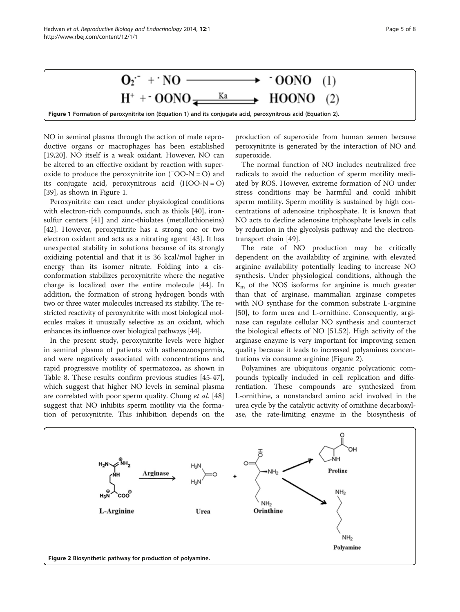

NO in seminal plasma through the action of male reproductive organs or macrophages has been established [[19,](#page-6-0)[20\]](#page-7-0). NO itself is a weak oxidant. However, NO can be altered to an effective oxidant by reaction with superoxide to produce the peroxynitrite ion  $(700-N=0)$  and its conjugate acid, peroxynitrous acid  $(HOO-N=O)$ [[39\]](#page-7-0), as shown in Figure 1.

Peroxynitrite can react under physiological conditions with electron-rich compounds, such as thiols [\[40](#page-7-0)], ironsulfur centers [[41\]](#page-7-0) and zinc-thiolates (metallothioneins) [[42\]](#page-7-0). However, peroxynitrite has a strong one or two electron oxidant and acts as a nitrating agent [\[43](#page-7-0)]. It has unexpected stability in solutions because of its strongly oxidizing potential and that it is 36 kcal/mol higher in energy than its isomer nitrate. Folding into a cisconformation stabilizes peroxynitrite where the negative charge is localized over the entire molecule [[44\]](#page-7-0). In addition, the formation of strong hydrogen bonds with two or three water molecules increased its stability. The restricted reactivity of peroxynitrite with most biological molecules makes it unusually selective as an oxidant, which enhances its influence over biological pathways [\[44\]](#page-7-0).

In the present study, peroxynitrite levels were higher in seminal plasma of patients with asthenozoospermia, and were negatively associated with concentrations and rapid progressive motility of spermatozoa, as shown in Table [8.](#page-3-0) These results confirm previous studies [\[45-47](#page-7-0)], which suggest that higher NO levels in seminal plasma are correlated with poor sperm quality. Chung et al. [[48](#page-7-0)] suggest that NO inhibits sperm motility via the formation of peroxynitrite. This inhibition depends on the

production of superoxide from human semen because peroxynitrite is generated by the interaction of NO and superoxide.

The normal function of NO includes neutralized free radicals to avoid the reduction of sperm motility mediated by ROS. However, extreme formation of NO under stress conditions may be harmful and could inhibit sperm motility. Sperm motility is sustained by high concentrations of adenosine triphosphate. It is known that NO acts to decline adenosine triphosphate levels in cells by reduction in the glycolysis pathway and the electrontransport chain [\[49](#page-7-0)].

The rate of NO production may be critically dependent on the availability of arginine, with elevated arginine availability potentially leading to increase NO synthesis. Under physiological conditions, although the  $K<sub>m</sub>$  of the NOS isoforms for arginine is much greater than that of arginase, mammalian arginase competes with NO synthase for the common substrate L-arginine [[50\]](#page-7-0), to form urea and L-ornithine. Consequently, arginase can regulate cellular NO synthesis and counteract the biological effects of NO [[51,52\]](#page-7-0). High activity of the arginase enzyme is very important for improving semen quality because it leads to increased polyamines concentrations via consume arginine (Figure 2).

Polyamines are ubiquitous organic polycationic compounds typically included in cell replication and differentiation. These compounds are synthesized from L-ornithine, a nonstandard amino acid involved in the urea cycle by the catalytic activity of ornithine decarboxylase, the rate-limiting enzyme in the biosynthesis of

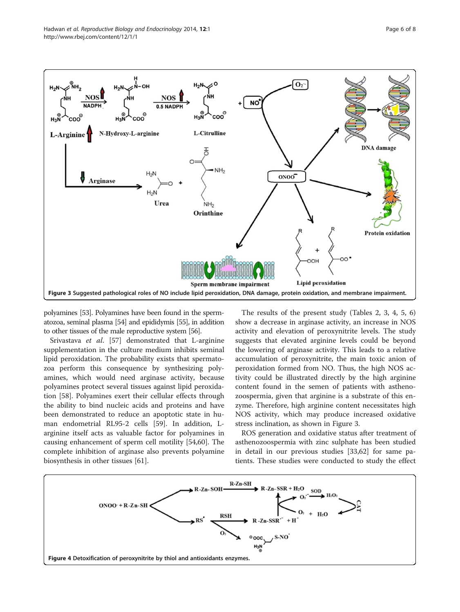<span id="page-5-0"></span>

polyamines [\[53](#page-7-0)]. Polyamines have been found in the spermatozoa, seminal plasma [\[54](#page-7-0)] and epididymis [\[55\]](#page-7-0), in addition to other tissues of the male reproductive system [\[56](#page-7-0)].

Srivastava et al. [\[57](#page-7-0)] demonstrated that L-arginine supplementation in the culture medium inhibits seminal lipid peroxidation. The probability exists that spermatozoa perform this consequence by synthesizing polyamines, which would need arginase activity, because polyamines protect several tissues against lipid peroxidation [[58](#page-7-0)]. Polyamines exert their cellular effects through the ability to bind nucleic acids and proteins and have been demonstrated to reduce an apoptotic state in human endometrial RL95-2 cells [[59](#page-7-0)]. In addition, Larginine itself acts as valuable factor for polyamines in causing enhancement of sperm cell motility [\[54,60\]](#page-7-0). The complete inhibition of arginase also prevents polyamine biosynthesis in other tissues [\[61](#page-7-0)].

The results of the present study (Tables [2, 3](#page-2-0), [4](#page-2-0), [5](#page-3-0), [6](#page-3-0)) show a decrease in arginase activity, an increase in NOS activity and elevation of peroxynitrite levels. The study suggests that elevated arginine levels could be beyond the lowering of arginase activity. This leads to a relative accumulation of peroxynitrite, the main toxic anion of peroxidation formed from NO. Thus, the high NOS activity could be illustrated directly by the high arginine content found in the semen of patients with asthenozoospermia, given that arginine is a substrate of this enzyme. Therefore, high arginine content necessitates high NOS activity, which may produce increased oxidative stress inclination, as shown in Figure 3.

ROS generation and oxidative status after treatment of asthenozoospermia with zinc sulphate has been studied in detail in our previous studies [\[33,62\]](#page-7-0) for same patients. These studies were conducted to study the effect

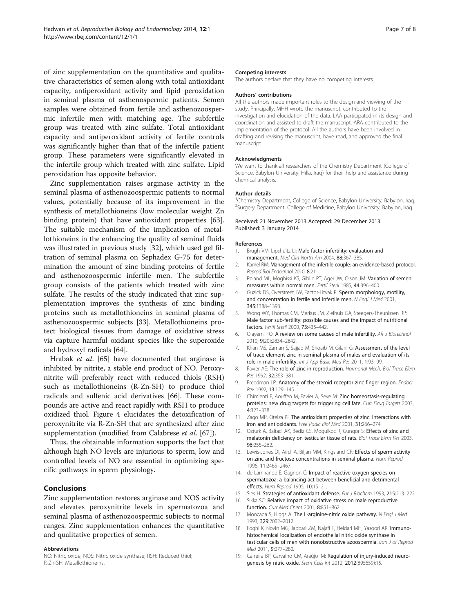<span id="page-6-0"></span>of zinc supplementation on the quantitative and qualitative characteristics of semen along with total antioxidant capacity, antiperoxidant activity and lipid peroxidation in seminal plasma of asthenospermic patients. Semen samples were obtained from fertile and asthenozoospermic infertile men with matching age. The subfertile group was treated with zinc sulfate. Total antioxidant capacity and antiperoxidant activity of fertile controls was significantly higher than that of the infertile patient group. These parameters were significantly elevated in the infertile group which treated with zinc sulfate. Lipid peroxidation has opposite behavior.

Zinc supplementation raises arginase activity in the seminal plasma of asthenozoospermic patients to normal values, potentially because of its improvement in the synthesis of metallothioneins (low molecular weight Zn binding protein) that have antioxidant properties [\[63](#page-7-0)]. The suitable mechanism of the implication of metallothioneins in the enhancing the quality of seminal fluids was illustrated in previous study [\[32](#page-7-0)], which used gel filtration of seminal plasma on Sephadex G-75 for determination the amount of zinc binding proteins of fertile and asthenozoospermic infertile men. The subfertile group consists of the patients which treated with zinc sulfate. The results of the study indicated that zinc supplementation improves the synthesis of zinc binding proteins such as metallothioneins in seminal plasma of asthenozoospermic subjects [[33\]](#page-7-0). Metallothioneins protect biological tissues from damage of oxidative stress via capture harmful oxidant species like the superoxide and hydroxyl radicals [\[64\]](#page-7-0).

Hrabak et al. [\[65](#page-7-0)] have documented that arginase is inhibited by nitrite, a stable end product of NO. Peroxynitrite will preferably react with reduced thiols (RSH) such as metallothioneins (R-Zn-SH) to produce thiol radicals and sulfenic acid derivatives [\[66](#page-7-0)]. These compounds are active and react rapidly with RSH to produce oxidized thiol. Figure [4](#page-5-0) elucidates the detoxification of peroxynitrite via R-Zn-SH that are synthesized after zinc supplementation (modified from Calabrese et al. [[67\]](#page-7-0)).

Thus, the obtainable information supports the fact that although high NO levels are injurious to sperm, low and controlled levels of NO are essential in optimizing specific pathways in sperm physiology.

#### Conclusions

Zinc supplementation restores arginase and NOS activity and elevates peroxynitrite levels in spermatozoa and seminal plasma of asthenozoospermic subjects to normal ranges. Zinc supplementation enhances the quantitative and qualitative properties of semen.

#### Abbreviations

NO: Nitric oxide; NOS: Nitric oxide synthase; RSH: Reduced thiol; R-Zn-SH: Metallothioneins.

#### Competing interests

The authors declare that they have no competing interests.

#### Authors' contributions

All the authors made important roles to the design and viewing of the study. Principally, MHH wrote the manuscript, contributed to the investigation and elucidation of the data. LAA participated in its design and coordination and assisted to draft the manuscript. ARA contributed to the implementation of the protocol. All the authors have been involved in drafting and revising the manuscript, have read, and approved the final manuscript.

#### Acknowledgments

We want to thank all researchers of the Chemistry Department (College of Science, Babylon University, Hilla, Iraq) for their help and assistance during chemical analysis.

#### Author details

<sup>1</sup>Chemistry Department, College of Science, Babylon University, Babylon, Iraq. <sup>2</sup>Surgery Department, College of Medicine, Babylon University, Babylon, Iraq

Received: 21 November 2013 Accepted: 29 December 2013 Published: 3 January 2014

#### References

- 1. Brugh VM, Lipshultz LI: Male factor infertility: evaluation and management. Med Clin North Am 2004, 88:367–385.
- 2. Kamel RM: Management of the infertile couple: an evidence-based protocol. Reprod Biol Endocrinol 2010, 8:21.
- 3. Poland ML, Moghissi KS, Giblin PT, Ager JW, Olson JM: Variation of semen measures within normal men. Fertil Steril 1985, 44:396–400.
- 4. Guzick DS, Overstreet JW, Factor-Litvak P: Sperm morphology, motility, and concentration in fertile and infertile men. N Engl J Med 2001, 345:1388–1393.
- 5. Wong WY, Thomas CM, Merkus JM, Zielhuis GA, Steegers-Theunissen RP: Male factor sub-fertility: possible causes and the impact of nutritional factors. Fertil Steril 2000, 73:435–442.
- 6. Olayemi FO: A review on some causes of male infertility. Afr J Biotechnol 2010, 9(20):2834–2842.
- 7. Khan MS, Zaman S, Sajjad M, Shoaib M, Gilani G: Assessment of the level of trace element zinc in seminal plasma of males and evaluation of its role in male infertility. Int J App Basic Med Res 2011, 1:93–99.
- 8. Favier AE: The role of zinc in reproduction. Hormonal Mech. Biol Trace Elem Res 1992, 32:363–381.
- 9. Freedman LP: Anatomy of the steroid receptor zinc finger region. Endocre Rev 1992, 13:129–145.
- 10. Chimienti F, Aouffen M, Favier A, Seve M: Zinc homeostasis-regulating proteins: new drug targets for triggering cell fate. Curr Drug Targets 2003, 4:323–338.
- 11. Zago MP, Oteiza PI: The antioxidant properties of zinc: interactions with iron and antioxidants. Free Radic Biol Med 2001, 31:266–274.
- 12. Ozturk A, Baltaci AK, Bediz CS, Mogulkoc R, Gungor S: Effects of zinc and melatonin deficiency on testicular tissue of rats. Biol Trace Elem Res 2003, 96:255–262.
- 13. Lewis-Jones DI, Aird IA, Biljan MM, Kingsland CR: Effects of sperm activity on zinc and fructose concentrations in seminal plasma. Hum Reprod 1996, 11:2465–2467.
- 14. de Lamirande E, Gagnon C: Impact of reactive oxygen species on spermatozoa: a balancing act between beneficial and detrimental effects. Hum Reprod 1995, 10:15–21.
- 15. Sies H: Strategies of antioxidant defense. Eur J Biochem 1993, 215:213-222.
- 16. Sikka SC: Relative impact of oxidative stress on male reproductive function. Curr Med Chem 2001, 8:851–862.
- 17. Moncada S, Higgs A: The L-arginine-nitric oxide pathway. N Engl J Med 1993, 329:2002–2012.
- 18. Foghi K, Novin MG, Jabbari ZM, Najafi T, Heidari MH, Yasoori AR: Immunohistochemical localization of endothelial nitric oxide synthase in testicular cells of men with nonobstructive azoospermia. Iran J of Reprod Med 2011, 9:277–280.
- 19. Carreira BP, Carvalho CM, Araújo IM: Regulation of injury-induced neurogenesis by nitric oxide. Stem Cells Int 2012, 2012(895659):15.